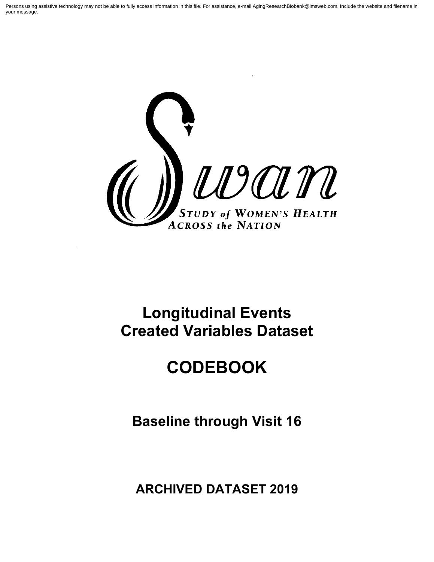Persons using assistive technology may not be able to fully access information in this file. For assistance, e-mail AgingResearchBiobank@imsweb.com. Include the website and filename in your message.



# **Longitudinal Events Created Variables Dataset**

# **CODEBOOK**

**Baseline through Visit 16**

**ARCHIVED DATASET 2019**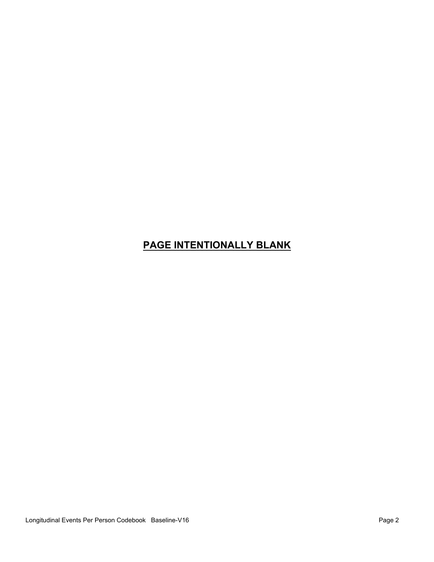# **PAGE INTENTIONALLY BLANK**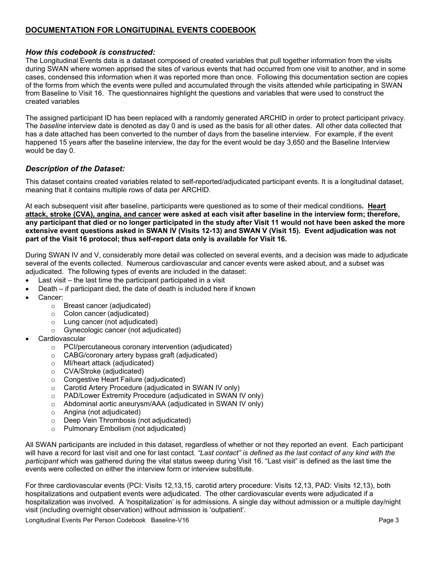### **DOCUMENTATION FOR LONGITUDINAL EVENTS CODEBOOK**

#### *How this codebook is constructed:*

The Longitudinal Events data is a dataset composed of created variables that pull together information from the visits during SWAN where women apprised the sites of various events that had occurred from one visit to another, and in some cases, condensed this information when it was reported more than once. Following this documentation section are copies of the forms from which the events were pulled and accumulated through the visits attended while participating in SWAN from Baseline to Visit 16. The questionnaires highlight the questions and variables that were used to construct the created variables

The assigned participant ID has been replaced with a randomly generated ARCHID in order to protect participant privacy. The *baseline* interview date is denoted as day 0 and is used as the basis for all other dates. All other data collected that has a date attached has been converted to the number of days from the baseline interview. For example, if the event happened 15 years after the baseline interview, the day for the event would be day 3,650 and the Baseline Interview would be day 0.

#### *Description of the Dataset:*

This dataset contains created variables related to self-reported/adjudicated participant events. It is a longitudinal dataset, meaning that it contains multiple rows of data per ARCHID.

At each subsequent visit after baseline, participants were questioned as to some of their medical conditions**. Heart attack, stroke (CVA), angina, and cancer were asked at each visit after baseline in the interview form; therefore, any participant that died or no longer participated in the study after Visit 11 would not have been asked the more extensive event questions asked in SWAN IV (Visits 12-13) and SWAN V (Visit 15). Event adjudication was not part of the Visit 16 protocol; thus self-report data only is available for Visit 16.**

During SWAN IV and V, considerably more detail was collected on several events, and a decision was made to adjudicate several of the events collected. Numerous cardiovascular and cancer events were asked about, and a subset was adjudicated. The following types of events are included in the dataset:

- Last visit the last time the participant participated in a visit
- Death if participant died, the date of death is included here if known
- Cancer:
	- o Breast cancer (adjudicated)
	- o Colon cancer (adjudicated)
	- o Lung cancer (not adjudicated)
	- o Gynecologic cancer (not adjudicated)
- **Cardiovascular** 
	- o PCI/percutaneous coronary intervention (adjudicated)
	- o CABG/coronary artery bypass graft (adjudicated)
	- o MI/heart attack (adjudicated)
	- o CVA/Stroke (adjudicated)
	- o Congestive Heart Failure (adjudicated)
	- o Carotid Artery Procedure (adjudicated in SWAN IV only)
	- o PAD/Lower Extremity Procedure (adjudicated in SWAN IV only)
	- o Abdominal aortic aneurysm/AAA (adjudicated in SWAN IV only)
	- $\circ$  Angina (not adjudicated)
	- o Deep Vein Thrombosis (not adjudicated)
	- o Pulmonary Embolism (not adjudicated)

All SWAN participants are included in this dataset, regardless of whether or not they reported an event. Each participant will have a record for last visit and one for last contact*. "Last contact" is defined as the last contact of any kind with the participant* which was gathered during the vital status sweep during Visit 16. "Last visit" is defined as the last time the events were collected on either the interview form or interview substitute.

For three cardiovascular events (PCI: Visits 12,13,15, carotid artery procedure: Visits 12,13, PAD: Visits 12,13), both hospitalizations and outpatient events were adjudicated. The other cardiovascular events were adjudicated if a hospitalization was involved. A 'hospitalization' is for admissions. A single day without admission or a multiple day/night visit (including overnight observation) without admission is 'outpatient'.

Longitudinal Events Per Person Codebook Baseline-V16 Page 3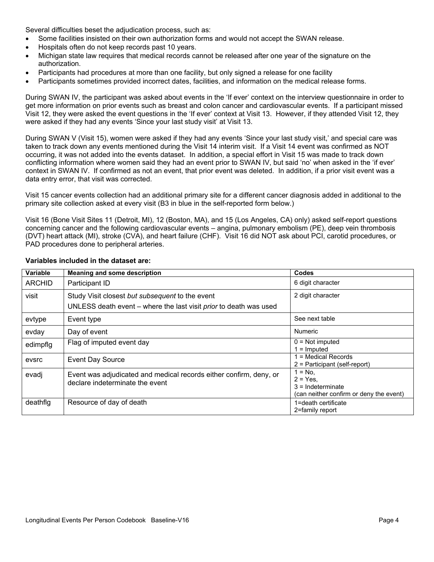Several difficulties beset the adjudication process, such as:

- Some facilities insisted on their own authorization forms and would not accept the SWAN release.
- Hospitals often do not keep records past 10 years.
- Michigan state law requires that medical records cannot be released after one year of the signature on the authorization.
- Participants had procedures at more than one facility, but only signed a release for one facility
- Participants sometimes provided incorrect dates, facilities, and information on the medical release forms.

During SWAN IV, the participant was asked about events in the 'If ever' context on the interview questionnaire in order to get more information on prior events such as breast and colon cancer and cardiovascular events. If a participant missed Visit 12, they were asked the event questions in the 'If ever' context at Visit 13. However, if they attended Visit 12, they were asked if they had any events 'Since your last study visit' at Visit 13.

During SWAN V (Visit 15), women were asked if they had any events 'Since your last study visit,' and special care was taken to track down any events mentioned during the Visit 14 interim visit. If a Visit 14 event was confirmed as NOT occurring, it was not added into the events dataset. In addition, a special effort in Visit 15 was made to track down conflicting information where women said they had an event prior to SWAN IV, but said 'no' when asked in the 'if ever' context in SWAN IV. If confirmed as not an event, that prior event was deleted. In addition, if a prior visit event was a data entry error, that visit was corrected.

Visit 15 cancer events collection had an additional primary site for a different cancer diagnosis added in additional to the primary site collection asked at every visit (B3 in blue in the self-reported form below.)

Visit 16 (Bone Visit Sites 11 (Detroit, MI), 12 (Boston, MA), and 15 (Los Angeles, CA) only) asked self-report questions concerning cancer and the following cardiovascular events – angina, pulmonary embolism (PE), deep vein thrombosis (DVT) heart attack (MI), stroke (CVA), and heart failure (CHF). Visit 16 did NOT ask about PCI, carotid procedures, or PAD procedures done to peripheral arteries.

| Variable      | <b>Meaning and some description</b>                                                                                  | <b>Codes</b>                                                                               |
|---------------|----------------------------------------------------------------------------------------------------------------------|--------------------------------------------------------------------------------------------|
| <b>ARCHID</b> | Participant ID                                                                                                       | 6 digit character                                                                          |
| visit         | Study Visit closest but subsequent to the event<br>UNLESS death event – where the last visit prior to death was used | 2 digit character                                                                          |
| evtype        | Event type                                                                                                           | See next table                                                                             |
| evday         | Day of event                                                                                                         | Numeric                                                                                    |
| edimpflg      | Flag of imputed event day                                                                                            | $0 = Not$ imputed<br>$1 =$ Imputed                                                         |
| evsrc         | <b>Event Day Source</b>                                                                                              | $1 =$ Medical Records<br>2 = Participant (self-report)                                     |
| evadj         | Event was adjudicated and medical records either confirm, deny, or<br>declare indeterminate the event                | $1 = No.$<br>$2 = Yes$ ,<br>$3 = Indeterminate$<br>(can neither confirm or deny the event) |
| deathflg      | Resource of day of death                                                                                             | 1=death certificate<br>2=family report                                                     |

#### **Variables included in the dataset are:**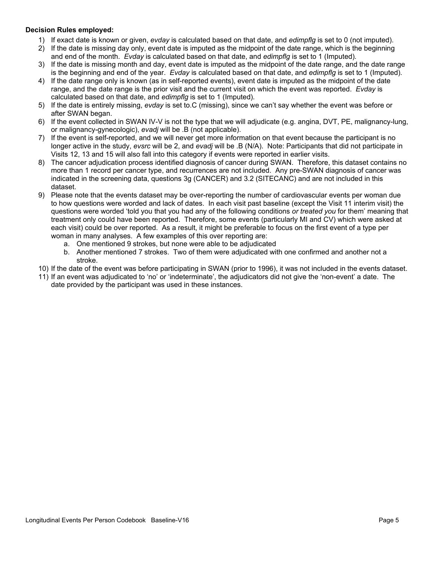#### **Decision Rules employed:**

- 1) If exact date is known or given, *evday* is calculated based on that date, and *edimpflg* is set to 0 (not imputed).
- 2) If the date is missing day only, event date is imputed as the midpoint of the date range, which is the beginning and end of the month. *Evday* is calculated based on that date, and *edimpflg* is set to 1 (Imputed)*.*
- 3) If the date is missing month and day, event date is imputed as the midpoint of the date range, and the date range is the beginning and end of the year. *Evday* is calculated based on that date, and *edimpflg* is set to 1 (Imputed)*.*
- 4) If the date range only is known (as in self-reported events), event date is imputed as the midpoint of the date range, and the date range is the prior visit and the current visit on which the event was reported. *Evday* is calculated based on that date, and *edimpflg* is set to 1 (Imputed)*.*
- 5) If the date is entirely missing, *evday* is set to.C (missing), since we can't say whether the event was before or after SWAN began.
- 6) If the event collected in SWAN IV-V is not the type that we will adjudicate (e.g. angina, DVT, PE, malignancy-lung, or malignancy-gynecologic), *evadj* will be .B (not applicable).
- 7) If the event is self-reported, and we will never get more information on that event because the participant is no longer active in the study, *evsrc* will be 2, and *evadj* will be .B (N/A). Note: Participants that did not participate in Visits 12, 13 and 15 will also fall into this category if events were reported in earlier visits.
- 8) The cancer adjudication process identified diagnosis of cancer during SWAN. Therefore, this dataset contains no more than 1 record per cancer type, and recurrences are not included. Any pre-SWAN diagnosis of cancer was indicated in the screening data, questions 3g (CANCER) and 3.2 (SITECANC) and are not included in this dataset.
- 9) Please note that the events dataset may be over-reporting the number of cardiovascular events per woman due to how questions were worded and lack of dates. In each visit past baseline (except the Visit 11 interim visit) the questions were worded 'told you that you had any of the following conditions *or treated you* for them' meaning that treatment only could have been reported. Therefore, some events (particularly MI and CV) which were asked at each visit) could be over reported. As a result, it might be preferable to focus on the first event of a type per woman in many analyses. A few examples of this over reporting are:
	- a. One mentioned 9 strokes, but none were able to be adjudicated
	- b. Another mentioned 7 strokes. Two of them were adjudicated with one confirmed and another not a stroke.
- 10) If the date of the event was before participating in SWAN (prior to 1996), it was not included in the events dataset.
- 11) If an event was adjudicated to 'no' or 'indeterminate', the adjudicators did not give the 'non-event' a date. The date provided by the participant was used in these instances.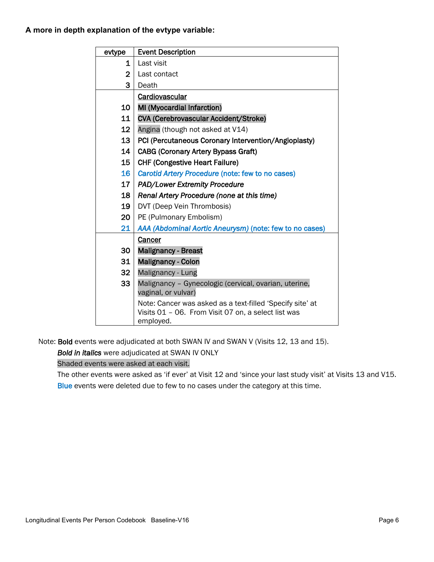| evtype         | <b>Event Description</b>                                                                                                      |  |  |  |  |  |
|----------------|-------------------------------------------------------------------------------------------------------------------------------|--|--|--|--|--|
| 1              | Last visit                                                                                                                    |  |  |  |  |  |
| $\overline{2}$ | Last contact                                                                                                                  |  |  |  |  |  |
| з              | Death                                                                                                                         |  |  |  |  |  |
|                | Cardiovascular                                                                                                                |  |  |  |  |  |
| 10             | MI (Myocardial Infarction)                                                                                                    |  |  |  |  |  |
| 11             | <b>CVA (Cerebrovascular Accident/Stroke)</b>                                                                                  |  |  |  |  |  |
| 12             | Angina (though not asked at V14)                                                                                              |  |  |  |  |  |
| 13             | PCI (Percutaneous Coronary Intervention/Angioplasty)                                                                          |  |  |  |  |  |
| 14             | <b>CABG (Coronary Artery Bypass Graft)</b>                                                                                    |  |  |  |  |  |
| 15             | <b>CHF (Congestive Heart Failure)</b>                                                                                         |  |  |  |  |  |
| 16             | Carotid Artery Procedure (note: few to no cases)                                                                              |  |  |  |  |  |
| 17             | <b>PAD/Lower Extremity Procedure</b>                                                                                          |  |  |  |  |  |
| 18             | Renal Artery Procedure (none at this time)                                                                                    |  |  |  |  |  |
| 19             | DVT (Deep Vein Thrombosis)                                                                                                    |  |  |  |  |  |
| 20             | PE (Pulmonary Embolism)                                                                                                       |  |  |  |  |  |
| 21             | AAA (Abdominal Aortic Aneurysm) (note: few to no cases)                                                                       |  |  |  |  |  |
|                | Cancer                                                                                                                        |  |  |  |  |  |
| 30             | <b>Malignancy - Breast</b>                                                                                                    |  |  |  |  |  |
| 31             | <b>Malignancy - Colon</b>                                                                                                     |  |  |  |  |  |
| 32             | Malignancy - Lung                                                                                                             |  |  |  |  |  |
| 33             | Malignancy - Gynecologic (cervical, ovarian, uterine,<br>vaginal, or vulvar)                                                  |  |  |  |  |  |
|                | Note: Cancer was asked as a text-filled 'Specify site' at<br>Visits 01 - 06. From Visit 07 on, a select list was<br>employed. |  |  |  |  |  |

Note: Bold events were adjudicated at both SWAN IV and SWAN V (Visits 12, 13 and 15).

*Bold in italics* were adjudicated at SWAN IV ONLY

Shaded events were asked at each visit.

The other events were asked as 'if ever' at Visit 12 and 'since your last study visit' at Visits 13 and V15. Blue events were deleted due to few to no cases under the category at this time.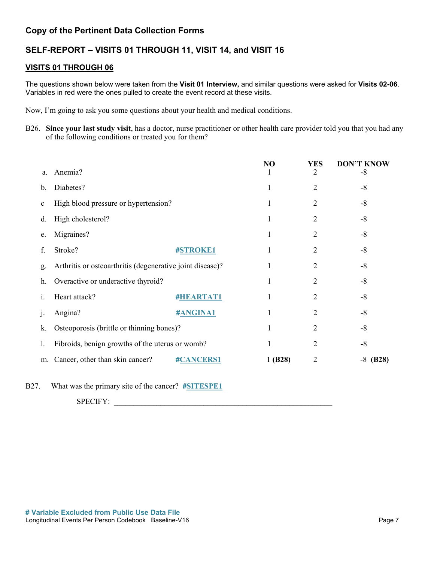### **Copy of the Pertinent Data Collection Forms**

## **SELF-REPORT – VISITS 01 THROUGH 11, VISIT 14, and VISIT 16**

#### **VISITS 01 THROUGH 06**

The questions shown below were taken from the **Visit 01 Interview,** and similar questions were asked for **Visits 02-06**. Variables in red were the ones pulled to create the event record at these visits.

Now, I'm going to ask you some questions about your health and medical conditions.

B26. **Since your last study visit**, has a doctor, nurse practitioner or other health care provider told you that you had any of the following conditions or treated you for them?

| a.             | Anemia?                                                   |                  | N <sub>O</sub> | <b>YES</b><br>$\overline{2}$ | <b>DON'T KNOW</b><br>$-8$ |
|----------------|-----------------------------------------------------------|------------------|----------------|------------------------------|---------------------------|
| $\mathbf{b}$ . | Diabetes?                                                 |                  | 1              | $\overline{2}$               | $-8$                      |
| $\mathbf{c}$   | High blood pressure or hypertension?                      |                  | 1              | 2                            | $-8$                      |
| d.             | High cholesterol?                                         |                  |                | $\overline{2}$               | $-8$                      |
| e.             | Migraines?                                                |                  | 1              | 2                            | $-8$                      |
| f.             | Stroke?                                                   | <b>#STROKE1</b>  |                | 2                            | $-8$                      |
| g.             | Arthritis or osteoarthritis (degenerative joint disease)? |                  | 1              | $\overline{2}$               | $-8$                      |
| h.             | Overactive or underactive thyroid?                        |                  | 1              | $\overline{2}$               | $-8$                      |
| $\mathbf{1}$ . | Heart attack?                                             | <b>#HEARTAT1</b> |                | 2                            | $-8$                      |
| $\cdot$        | Angina?                                                   | #ANGINA1         |                | $\overline{2}$               | $-8$                      |
| k.             | Osteoporosis (brittle or thinning bones)?                 |                  | 1              | $\overline{2}$               | $-8$                      |
| 1.             | Fibroids, benign growths of the uterus or womb?           |                  |                | 2                            | $-8$                      |
|                | m. Cancer, other than skin cancer?                        | <b>#CANCERS1</b> | 1 $(B28)$      | 2                            | -8<br>(B28)               |

B27. What was the primary site of the cancer? **#SITESPE1**

SPECIFY: \_\_\_\_\_\_\_\_\_\_\_\_\_\_\_\_\_\_\_\_\_\_\_\_\_\_\_\_\_\_\_\_\_\_\_\_\_\_\_\_\_\_\_\_\_\_\_\_\_\_\_\_\_\_\_\_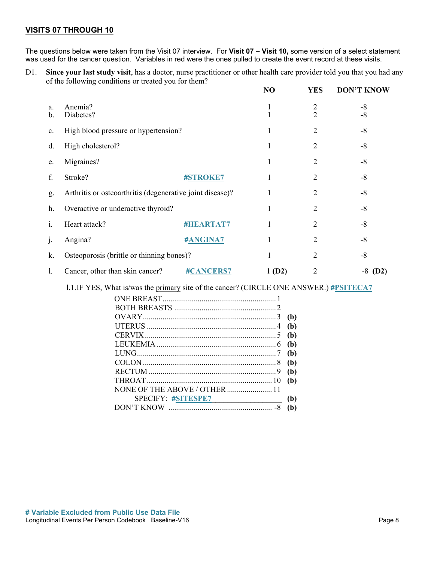### **VISITS 07 THROUGH 10**

The questions below were taken from the Visit 07 interview. For **Visit 07 – Visit 10,** some version of a select statement was used for the cancer question. Variables in red were the ones pulled to create the event record at these visits.

D1. **Since your last study visit**, has a doctor, nurse practitioner or other health care provider told you that you had any of the following conditions or treated you for them? **NO YES DON'T KNOW**

|                |                                                           |                  | NO    | YES            | DON'T KNOW   |
|----------------|-----------------------------------------------------------|------------------|-------|----------------|--------------|
| a.<br>b.       | Anemia?<br>Diabetes?                                      |                  |       | $\frac{2}{2}$  | $-8$<br>$-8$ |
| $\mathbf{c}$ . | High blood pressure or hypertension?                      |                  |       | 2              | $-8$         |
| d.             | High cholesterol?                                         |                  |       | $\overline{2}$ | $-8$         |
| e.             | Migraines?                                                |                  |       | $\overline{2}$ | -8           |
| f.             | Stroke?                                                   | <b>#STROKE7</b>  |       | 2              | -8           |
| g.             | Arthritis or osteoarthritis (degenerative joint disease)? |                  |       | 2              | -8           |
| h.             | Overactive or underactive thyroid?                        |                  |       | $\overline{2}$ | $-8$         |
| $\mathbf{1}$ . | Heart attack?                                             | <b>#HEARTAT7</b> |       | $\overline{2}$ | $-8$         |
| $\cdot$        | Angina?                                                   | #ANGINA7         |       | 2              | -8           |
| k.             | Osteoporosis (brittle or thinning bones)?                 |                  |       | 2              | -8           |
| 1.             | Cancer, other than skin cancer?                           | <b>#CANCERS7</b> | 1(D2) | 2              | -8<br>(D2)   |

l.1.IF YES, What is/was the primary site of the cancer? (CIRCLE ONE ANSWER.) **#PSITECA7**

|                    | (b) |
|--------------------|-----|
|                    | (b) |
|                    | (b) |
|                    | (b) |
|                    | (b) |
|                    | (b) |
|                    | (b) |
|                    | (b) |
|                    |     |
| SPECIFY: #SITESPE7 |     |
| ON'T KNOW          |     |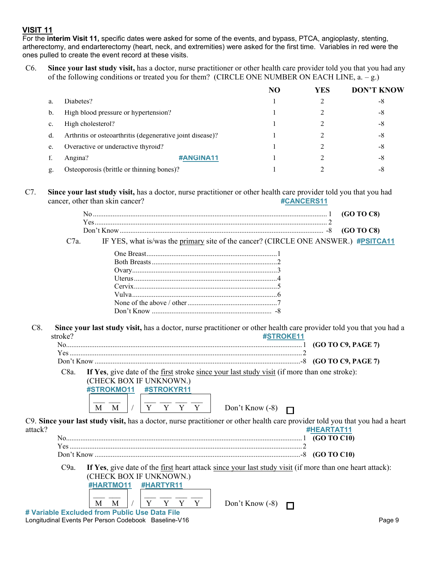#### **VISIT 11**

For the **interim Visit 11,** specific dates were asked for some of the events, and bypass, PTCA, angioplasty, stenting, artherectomy, and endarterectomy (heart, neck, and extremities) were asked for the first time. Variables in red were the ones pulled to create the event record at these visits.

C6. **Since your last study visit,** has a doctor, nurse practitioner or other health care provider told you that you had any of the following conditions or treated you for them? (CIRCLE ONE NUMBER ON EACH LINE,  $a. - g.$ )

|    |                                                           | NО | YES | <b>DON'T KNOW</b> |
|----|-----------------------------------------------------------|----|-----|-------------------|
| a. | Diabetes?                                                 |    |     | -8                |
| b. | High blood pressure or hypertension?                      |    |     | -8                |
| c. | High cholesterol?                                         |    |     | -8                |
| d. | Arthritis or osteoarthritis (degenerative joint disease)? |    |     | -8                |
| e. | Overactive or underactive thyroid?                        |    |     | -8                |
|    | Angina?<br>#ANGINA11                                      |    |     | -8                |
| g. | Osteoporosis (brittle or thinning bones)?                 |    |     | -8                |

C7. **Since your last study visit,** has a doctor, nurse practitioner or other health care provider told you that you had cancer, other than skin cancer? **#CANCERS11** 

C7a. IF YES, what is/was the primary site of the cancer? (CIRCLE ONE ANSWER.) **#PSITCA11**

| Vulva <u>maria muu muu muu muu muu muu muu 6</u> |  |
|--------------------------------------------------|--|
|                                                  |  |
|                                                  |  |
|                                                  |  |

C8. **Since your last study visit,** has a doctor, nurse practitioner or other health care provider told you that you had a stroke? **#STROKE11**

| Don't Know |  |
|------------|--|

C8a. **If Yes**, give date of the first stroke since your last study visit (if more than one stroke): (CHECK BOX IF UNKNOWN.)

|  | $\frac{1}{2}$<br>#STROKMO11 | <b>#STROKYR11</b> |  |  |
|--|-----------------------------|-------------------|--|--|
|  |                             |                   |  |  |
|  |                             |                   |  |  |

Don't Know  $(-8)$  $\Box$ 

C9. **Since your last study visit,** has a doctor, nurse practitioner or other health care provider told you that you had a heart attack? **#HEARTAT11** No. 1 **(GO TO C10)** 

|   | TUU TU UN |
|---|-----------|
|   |           |
| _ |           |

| Don't Know |  |
|------------|--|
|            |  |

C9a. **If Yes**, give date of the first heart attack since your last study visit (if more than one heart attack): (CHECK BOX IF UNKNOWN.)  **#HARTMO11 #HARTYR11**

| ded from Public Use Data File |  |  |  |  |
|-------------------------------|--|--|--|--|

Don't Know (-8)  $\Box$ 

**<sup>#</sup> Variable Excluded from Public Use Data File** Longitudinal Events Per Person Codebook Baseline-V16 Page 9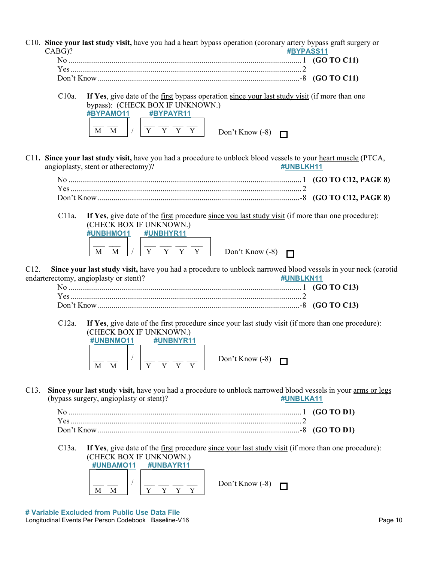|      | CABG)? | C10. Since your last study visit, have you had a heart bypass operation (coronary artery bypass graft surgery or                                                                                   | <b>#BYPASS11</b> |
|------|--------|----------------------------------------------------------------------------------------------------------------------------------------------------------------------------------------------------|------------------|
|      |        |                                                                                                                                                                                                    |                  |
|      |        |                                                                                                                                                                                                    |                  |
|      |        |                                                                                                                                                                                                    |                  |
|      | C10a.  | If Yes, give date of the first bypass operation since your last study visit (if more than one<br>bypass): (CHECK BOX IF UNKNOWN.)<br>#BYPAMO11<br>#BYPAYR11<br>Y Y Y Y<br>M M<br>Don't Know $(-8)$ |                  |
|      |        | C11. Since your last study visit, have you had a procedure to unblock blood vessels to your heart muscle (PTCA,<br>angioplasty, stent or atherectomy)?                                             | #UNBLKH11        |
|      |        |                                                                                                                                                                                                    |                  |
|      |        |                                                                                                                                                                                                    |                  |
|      | C11a.  | If Yes, give date of the <u>first</u> procedure since you last study visit (if more than one procedure):<br>(CHECK BOX IF UNKNOWN.)<br>#UNBHMO11<br>#UNBHYR11                                      |                  |
|      |        | Y Y Y<br>Y<br>Don't Know $(-8)$<br>M<br>M                                                                                                                                                          |                  |
| C12. |        | Since your last study visit, have you had a procedure to unblock narrowed blood vessels in your neck (carotid                                                                                      |                  |
|      |        | endarterectomy, angioplasty or stent)?                                                                                                                                                             | #UNBLKN11        |
|      |        |                                                                                                                                                                                                    |                  |
|      |        |                                                                                                                                                                                                    |                  |
|      | C12a.  | If Yes, give date of the first procedure since your last study visit (if more than one procedure):<br>(CHECK BOX IF UNKNOWN.)<br>#UNBNMO11<br>#UNBNYR11                                            |                  |
|      |        | Don't Know $(-8)$<br>Y<br>Y Y<br>M<br>М                                                                                                                                                            |                  |
| C13. |        | Since your last study visit, have you had a procedure to unblock narrowed blood vessels in your arms or legs<br>(bypass surgery, angioplasty or stent)?                                            | #UNBLKA11        |
|      |        |                                                                                                                                                                                                    |                  |
|      |        |                                                                                                                                                                                                    |                  |
|      | C13a.  | If Yes, give date of the <u>first</u> procedure since your last study visit (if more than one procedure):<br>(CHECK BOX IF UNKNOWN.)<br>#UNBAMO11<br>#UNBAYR11                                     |                  |
|      |        | Don't Know $(-8)$<br>П<br>Y<br>Y<br>Y<br>Y<br>М<br>M                                                                                                                                               |                  |

**# Variable Excluded from Public Use Data File** Longitudinal Events Per Person Codebook Baseline-V16 Page 10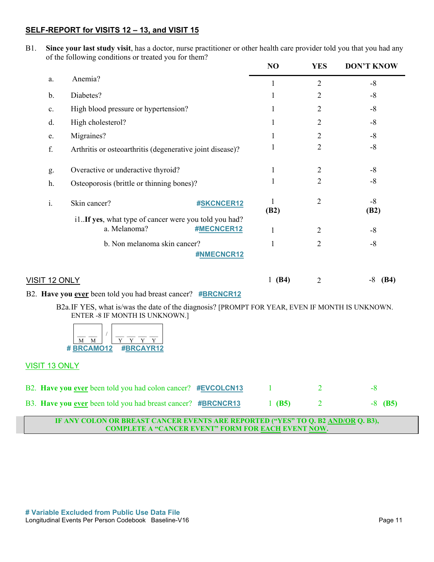#### **SELF-REPORT for VISITS 12 – 13, and VISIT 15**

B1. **Since your last study visit**, has a doctor, nurse practitioner or other health care provider told you that you had any of the following conditions or treated you for them?

|                      |                                                                                                                                  | N <sub>O</sub> | <b>YES</b>     | <b>DON'T KNOW</b> |
|----------------------|----------------------------------------------------------------------------------------------------------------------------------|----------------|----------------|-------------------|
| a.                   | Anemia?                                                                                                                          | 1              | $\overline{2}$ | $-8$              |
| $\mathbf b$ .        | Diabetes?                                                                                                                        | 1              | $\overline{2}$ | $-8$              |
| c.                   | High blood pressure or hypertension?                                                                                             | 1              | $\overline{2}$ | $-8$              |
| d.                   | High cholesterol?                                                                                                                | 1              | $\overline{2}$ | $-8$              |
| e.                   | Migraines?                                                                                                                       | 1              | $\overline{2}$ | $-8$              |
| f.                   | Arthritis or osteoarthritis (degenerative joint disease)?                                                                        |                | $\overline{2}$ | $-8$              |
| g.                   | Overactive or underactive thyroid?                                                                                               | 1              | $\overline{2}$ | $-8$              |
| h.                   | Osteoporosis (brittle or thinning bones)?                                                                                        | 1              | $\overline{2}$ | $-8$              |
| $\mathbf{i}$ .       | Skin cancer?<br><b>#SKCNCER12</b>                                                                                                | 1<br>(B2)      | 2              | $-8$<br>(B2)      |
|                      | i1If yes, what type of cancer were you told you had?<br>a. Melanoma?<br>#MECNCER12                                               | $\mathbf{1}$   | $\overline{2}$ | $-8$              |
|                      | b. Non melanoma skin cancer?<br>#NMECNCR12                                                                                       | $\mathbf{1}$   | $\overline{2}$ | $-8$              |
| VISIT 12 ONLY        |                                                                                                                                  | 1 (B4)         | $\overline{2}$ | -8<br>(B4)        |
|                      | B2. Have you ever been told you had breast cancer? #BRCNCR12                                                                     |                |                |                   |
|                      | B2a.IF YES, what is/was the date of the diagnosis? [PROMPT FOR YEAR, EVEN IF MONTH IS UNKNOWN.<br>ENTER -8 IF MONTH IS UNKNOWN.] |                |                |                   |
|                      | Y Y Y<br>M<br>Y<br>M<br>#BRCAMO12<br><b>#BRCAYR12</b>                                                                            |                |                |                   |
| <b>VISIT 13 ONLY</b> |                                                                                                                                  |                |                |                   |

B2. **Have you ever** been told you had colon cancer? **#EVCOLCN13** 1 2 -8 B3. **Have you ever** been told you had breast cancer? **#BRCNCR13** 1 **(B5)** 2 -8 **(B5)**

#### **IF ANY COLON OR BREAST CANCER EVENTS ARE REPORTED ("YES" TO Q. B2 AND/OR Q. B3), COMPLETE A "CANCER EVENT" FORM FOR EACH EVENT NOW.**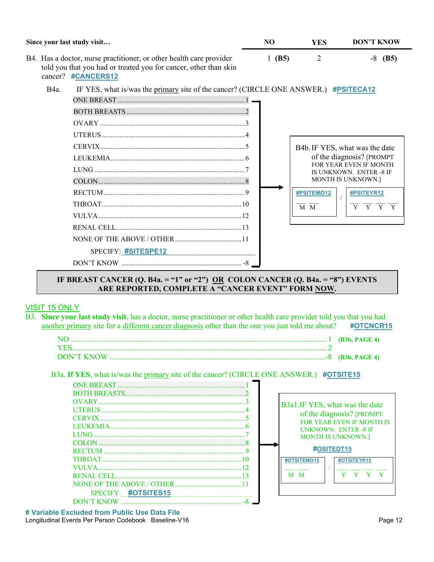

#### **IF BREAST CANCER (Q. B4a. = "1" or "2") OR COLON CANCER (Q. B4a. = "8") EVENTS ARE REPORTED, COMPLETE A "CANCER EVENT" FORM NOW.**

#### VISIT 15 ONLY

B3. **Since your last study visit**, has a doctor, nurse practitioner or other health care provider told you that you had another primary site for a different cancer diagnosis other than the one you just told me about? **#OTCNCR15** 

B3a. **If YES**, what is/was the primary site of the cancer? (CIRCLE ONE ANSWER.) **#OTSITE15**

| ONE BREAST            |                                                          |  |  |
|-----------------------|----------------------------------------------------------|--|--|
|                       |                                                          |  |  |
|                       | B3a1.IF YES, what was the date                           |  |  |
|                       |                                                          |  |  |
|                       | of the diagnosis? [PROMPT                                |  |  |
|                       | <b>FOR YEAR EVEN IF MONTH IS</b><br>UNKNOWN. ENTER -8 IF |  |  |
|                       | <b>MONTH IS UNKNOWN.]</b>                                |  |  |
|                       |                                                          |  |  |
|                       | #OSITEDT15                                               |  |  |
| THROAT                | #OTSITEMO15<br>#OTSITEYR15                               |  |  |
|                       |                                                          |  |  |
|                       | M M                                                      |  |  |
|                       |                                                          |  |  |
| SPECIFY: #OTSITES15   |                                                          |  |  |
| $DON'T$ KNOW $\ldots$ |                                                          |  |  |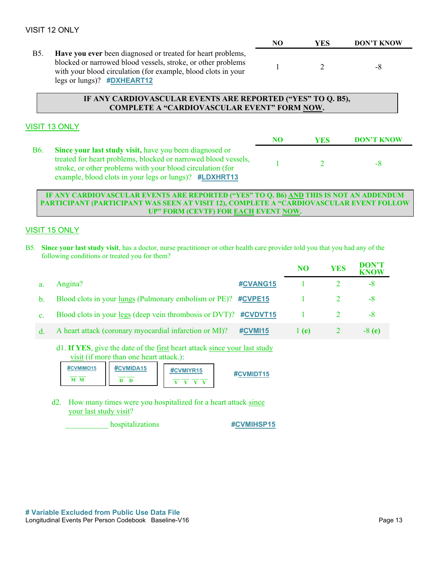B5. **Have you ever** been diagnosed or treated for heart problems, blocked or narrowed blood vessels, stroke, or other problems with your blood circulation (for example, blood clots in your legs or lungs)? **#DXHEART12**

# **NO YES DON'T KNOW**  $1 \hspace{1.5cm} 2 \hspace{1.5cm} -8$

#### **IF ANY CARDIOVASCULAR EVENTS ARE REPORTED ("YES" TO Q. B5), COMPLETE A "CARDIOVASCULAR EVENT" FORM NOW.**

#### VISIT 13 ONLY

|            |                                                                                                                                                                                         | NO | VES | <b>DON'T KNOW</b> |
|------------|-----------------------------------------------------------------------------------------------------------------------------------------------------------------------------------------|----|-----|-------------------|
| <b>B6.</b> | Since your last study visit, have you been diagnosed or<br>treated for heart problems, blocked or narrowed blood vessels,<br>stroke, or other problems with your blood circulation (for |    |     |                   |
|            | example, blood clots in your legs or lungs)? #LDXHRT13                                                                                                                                  |    |     |                   |

#### **IF ANY CARDIOVASCULAR EVENTS ARE REPORTED ("YES" TO Q. B6) AND THIS IS NOT AN ADDENDUM PARTICIPANT (PARTICIPANT WAS SEEN AT VISIT 12), COMPLETE A "CARDIOVASCULAR EVENT FOLLOW UP" FORM (CEVTF) FOR EACH EVENT NOW.**

#### VISIT 15 ONLY

B5. **Since your last study visit**, has a doctor, nurse practitioner or other health care provider told you that you had any of the following conditions or treated you for them?

|                |                                                                         |          | NO.   | YES | DON'T<br><b>KNOW</b> |
|----------------|-------------------------------------------------------------------------|----------|-------|-----|----------------------|
| a.             | Angina?                                                                 | #CVANG15 |       |     | -8                   |
| $h_{-}$        | Blood clots in your <u>lungs</u> (Pulmonary embolism or PE)? #CVPE15    |          |       |     | -8                   |
| $\mathbf{c}$ . | Blood clots in your <u>legs</u> (deep vein thrombosis or DVT)? #CVDVT15 |          |       |     | -8                   |
| $d_{-}$        | A heart attack (coronary myocardial infarction or MI)?                  | #CVMI15  | 1 (e) |     | $-8(e)$              |

d1. **If YES**, give the date of the first heart attack since your last study visit (if more than one heart attack.):

| <b>#CVMIMO15</b> | #CVMIDA15 | <b>#CVMIYR15</b> | #CVMIDT15 |
|------------------|-----------|------------------|-----------|
|                  |           |                  |           |

d2. How many times were you hospitalized for a heart attack since your last study visit?

\_\_\_\_\_\_\_\_\_\_\_ hospitalizations **#CVMIHSP15**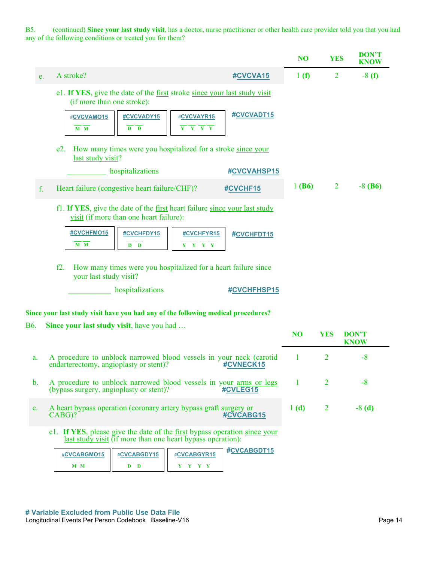B5. (continued) **Since your last study visit**, has a doctor, nurse practitioner or other health care provider told you that you had any of the following conditions or treated you for them?

|                |                                                                                                                                                                                       | N <sub>O</sub>  | <b>YES</b>     | <b>DON'T</b><br>KNOW |
|----------------|---------------------------------------------------------------------------------------------------------------------------------------------------------------------------------------|-----------------|----------------|----------------------|
| e.             | A stroke?<br>#CVCVA15                                                                                                                                                                 | 1(f)            | $\overline{2}$ | $-8(f)$              |
|                | e1. If YES, give the date of the first stroke since your last study visit<br>(if more than one stroke):                                                                               |                 |                |                      |
|                | #CVCVADT15<br>#CVCVAMO15<br>#CVCVADY15<br>#CVCVAYR15<br>$\overline{Y}$ $\overline{Y}$ $\overline{Y}$ $\overline{Y}$<br>$\overline{D}$ $\overline{D}$<br>$M$ $M$                       |                 |                |                      |
|                | How many times were you hospitalized for a stroke since your<br>e2.<br>last study visit?                                                                                              |                 |                |                      |
|                | hospitalizations<br>#CVCVAHSP15                                                                                                                                                       |                 |                |                      |
| f.             | Heart failure (congestive heart failure/CHF)?<br>#CVCHF15                                                                                                                             | $1$ (B6)        | $\overline{2}$ | $-8$ (B6)            |
|                | fl. If YES, give the date of the first heart failure since your last study<br>visit (if more than one heart failure):                                                                 |                 |                |                      |
|                | #CVCHFMO15<br>#CVCHFDY15<br>#CVCHFYR15<br>#CVCHFDT15<br>$\overline{M}$ $\overline{M}$<br>$\overline{D}$ $\overline{D}$<br>$\overline{Y}$ $\overline{Y}$ $\overline{Y}$ $\overline{Y}$ |                 |                |                      |
|                | How many times were you hospitalized for a heart failure since<br>f2.<br>your last study visit?                                                                                       |                 |                |                      |
|                | hospitalizations<br>#CVCHFHSP15                                                                                                                                                       |                 |                |                      |
|                | Since your last study visit have you had any of the following medical procedures?                                                                                                     |                 |                |                      |
| B6.            | Since your last study visit, have you had                                                                                                                                             | NO <sub>1</sub> | <b>YES</b>     | DON'T<br><b>KNOW</b> |
| a.             | A procedure to unblock narrowed blood vessels in your neck (carotid<br>#CVNECK15<br>endarterectomy, angioplasty or stent)?                                                            | 1               | 2              | $-8$                 |
| $\mathbf{b}$ . | A procedure to unblock narrowed blood vessels in your arms or legs<br>(bypass surgery, angioplasty or stent)?<br>#CVLEG15                                                             | $\mathbf{1}$    | 2              | $-8$                 |
| $\mathbf{c}$ . | A heart bypass operation (coronary artery bypass graft surgery or<br>#CVCABG15<br>$CABG$ ?                                                                                            | 1(d)            | 2              | $-8(d)$              |
|                | c1. If YES, please give the date of the first bypass operation since your<br>last study visit (if more than one heart bypass operation):                                              |                 |                |                      |
|                | #CVCABGDT15<br>#CVCABGYR15<br>#CVCABGMO15<br>#CVCABGDY15<br>$\overline{D}$ $\overline{D}$<br>$\overline{Y}$ $\overline{Y}$ $\overline{Y}$ $\overline{Y}$<br>$M$ $M$                   |                 |                |                      |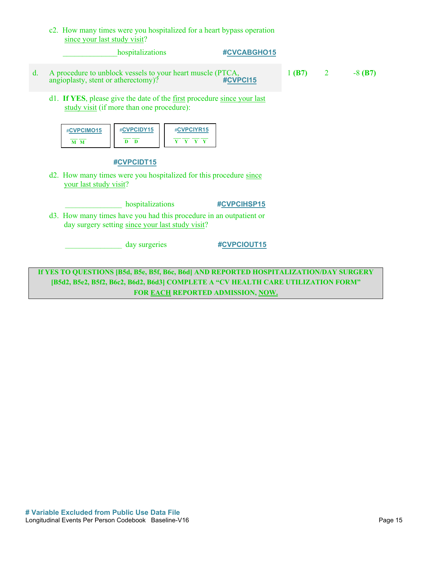| c2. How many times were you hospitalized for a heart bypass operation |  |
|-----------------------------------------------------------------------|--|
| since your last study visit?                                          |  |

\_\_\_\_\_\_\_\_\_\_\_\_\_\_hospitalizations **#CVCABGHO15**

- d. A procedure to unblock vessels to your heart muscle (PTCA, angioplasty, stent or atherectomy)? #CVPCI15 angioplasty, stent or atherectomy)? 1 **(B7)** 2 -8 **(B7)**
	- d1. **If YES**, please give the date of the first procedure since your last study visit (if more than one procedure):

| #CVPCIMO15 | #CVPCIDY15 | #CVPCIYR15 |
|------------|------------|------------|
|            |            |            |

#### **#CVPCIDT15**

d2. How many times were you hospitalized for this procedure since your last study visit?

\_\_\_\_\_\_\_\_\_\_\_\_\_\_\_\_ hospitalizations **#CVPCIHSP15**

d3. How many times have you had this procedure in an outpatient or day surgery setting since your last study visit?

day surgeries **#CVPCIOUT15** 

**If YES TO QUESTIONS [B5d, B5e, B5f, B6c, B6d] AND REPORTED HOSPITALIZATION/DAY SURGERY [B5d2, B5e2, B5f2, B6c2, B6d2, B6d3] COMPLETE A "CV HEALTH CARE UTILIZATION FORM" FOR EACH REPORTED ADMISSION, NOW.**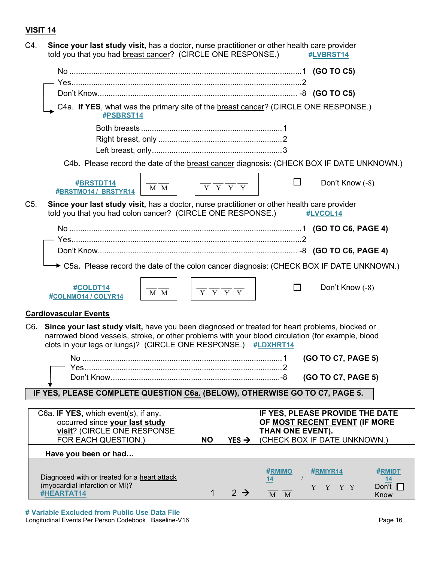### **VISIT 14**

| C4.              | Since your last study visit, has a doctor, nurse practitioner or other health care provider<br>told you that you had breast cancer? (CIRCLE ONE RESPONSE.)                                                                                                                |   | #LVBRST14                       |                                             |
|------------------|---------------------------------------------------------------------------------------------------------------------------------------------------------------------------------------------------------------------------------------------------------------------------|---|---------------------------------|---------------------------------------------|
|                  |                                                                                                                                                                                                                                                                           |   |                                 |                                             |
|                  |                                                                                                                                                                                                                                                                           |   |                                 |                                             |
|                  |                                                                                                                                                                                                                                                                           |   |                                 |                                             |
|                  | C4a. If YES, what was the primary site of the breast cancer? (CIRCLE ONE RESPONSE.)<br>#PSBRST14                                                                                                                                                                          |   |                                 |                                             |
|                  |                                                                                                                                                                                                                                                                           |   |                                 |                                             |
|                  |                                                                                                                                                                                                                                                                           |   |                                 |                                             |
|                  |                                                                                                                                                                                                                                                                           |   |                                 |                                             |
|                  | C4b. Please record the date of the breast cancer diagnosis: (CHECK BOX IF DATE UNKNOWN.)                                                                                                                                                                                  |   |                                 |                                             |
|                  | <b>#BRSTDT14</b><br>$\overline{Y}$ $\overline{Y}$ $\overline{Y}$ $\overline{Y}$<br>$\overline{M}$ $\overline{M}$<br>#BRSTMO14 / BRSTYR14                                                                                                                                  | ப | Don't Know (-8)                 |                                             |
| C <sub>5</sub> . | Since your last study visit, has a doctor, nurse practitioner or other health care provider<br>told you that you had colon cancer? (CIRCLE ONE RESPONSE.)                                                                                                                 |   | #LVCOL14                        |                                             |
|                  |                                                                                                                                                                                                                                                                           |   |                                 |                                             |
|                  |                                                                                                                                                                                                                                                                           |   |                                 |                                             |
|                  |                                                                                                                                                                                                                                                                           |   |                                 |                                             |
|                  | C5a. Please record the date of the colon cancer diagnosis: (CHECK BOX IF DATE UNKNOWN.)                                                                                                                                                                                   |   |                                 |                                             |
|                  | #COLDT14<br>$\overline{Y}$ $\overline{Y}$ $\overline{Y}$ $\overline{Y}$<br>$M$ $M$<br>#COLNMO14 / COLYR14                                                                                                                                                                 | H | Don't Know (-8)                 |                                             |
|                  | <b>Cardiovascular Events</b>                                                                                                                                                                                                                                              |   |                                 |                                             |
|                  | C6. Since your last study visit, have you been diagnosed or treated for heart problems, blocked or<br>narrowed blood vessels, stroke, or other problems with your blood circulation (for example, blood<br>clots in your legs or lungs)? (CIRCLE ONE RESPONSE.) #LDXHRT14 |   |                                 |                                             |
|                  |                                                                                                                                                                                                                                                                           |   |                                 |                                             |
|                  |                                                                                                                                                                                                                                                                           |   | (GO TO C7, PAGE 5)              |                                             |
|                  | IF YES, PLEASE COMPLETE QUESTION C6a. (BELOW), OTHERWISE GO TO C7, PAGE 5.                                                                                                                                                                                                |   |                                 |                                             |
|                  | C6a. IF YES, which event(s), if any,                                                                                                                                                                                                                                      |   | IF YES, PLEASE PROVIDE THE DATE |                                             |
|                  | occurred since your last study                                                                                                                                                                                                                                            |   | OF MOST RECENT EVENT (IF MORE   |                                             |
|                  | visit? (CIRCLE ONE RESPONSE                                                                                                                                                                                                                                               |   | THAN ONE EVENT).                |                                             |
|                  | FOR EACH QUESTION.)<br><b>NO</b><br>YES $\rightarrow$                                                                                                                                                                                                                     |   | (CHECK BOX IF DATE UNKNOWN.)    |                                             |
|                  | Have you been or had                                                                                                                                                                                                                                                      |   |                                 |                                             |
|                  | <b>#RMIMO</b><br>Diagnosed with or treated for a heart attack<br>14<br>(myocardial infarction or MI)?<br>1<br>$2 \rightarrow$<br>#HEARTAT14<br>$\mathbf M$                                                                                                                | M | #RMIYR14<br>Y Y Y Y             | <b>#RMIDT</b><br>14<br>Don't $\Box$<br>Know |

**# Variable Excluded from Public Use Data File** Longitudinal Events Per Person Codebook Baseline-V16 Page 16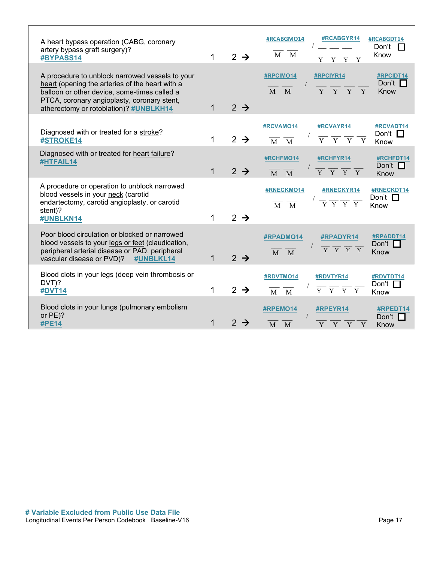| A heart bypass operation (CABG, coronary<br>artery bypass graft surgery)?<br>#BYPASS14                                                                                                                                                      | 1           | $2 \rightarrow$ | #RCABGYR14<br>#RCABGDT14<br>#RCABGMO14<br>Don't<br>M<br>M<br>Know<br>Y<br>Y<br>Y<br>Y                                                              |
|---------------------------------------------------------------------------------------------------------------------------------------------------------------------------------------------------------------------------------------------|-------------|-----------------|----------------------------------------------------------------------------------------------------------------------------------------------------|
| A procedure to unblock narrowed vessels to your<br>heart (opening the arteries of the heart with a<br>balloon or other device, some-times called a<br>PTCA, coronary angioplasty, coronary stent,<br>atherectomy or rotoblation)? #UNBLKH14 | 1           | $2 \rightarrow$ | #RPCIMO14<br>#RPCIYR14<br>#RPCIDT14<br>Don't $\Box$<br>Y<br>Y<br>M<br>Y<br>Know<br>M<br>Y                                                          |
| Diagnosed with or treated for a stroke?<br>#STROKE14                                                                                                                                                                                        | 1           | $2 \rightarrow$ | #RCVAMO14<br>#RCVAYR14<br><b>#RCVADT14</b><br>Don't $\Box$<br>$\mathbf{V}$<br>Y<br>Y<br>M<br>M<br>Know                                             |
| Diagnosed with or treated for heart failure?<br>#HTFAIL14                                                                                                                                                                                   | 1           | $2 \rightarrow$ | <b>#RCHFMO14</b><br><b>#RCHFYR14</b><br><b>#RCHFDT14</b><br>Don't<br>$\overline{Y}$ $\overline{Y}$ $\overline{Y}$ $\overline{Y}$<br>M<br>M<br>Know |
| A procedure or operation to unblock narrowed<br>blood vessels in your neck (carotid<br>endartectomy, carotid angioplasty, or carotid<br>stent)?<br>#UNBLKN14                                                                                | 1           | $2 \rightarrow$ | #RNECKMO14<br>#RNECKYR14<br>#RNECKDT14<br>Don't $\square$<br>$\overline{Y}$ $\overline{Y}$ $\overline{Y}$ $\overline{Y}$<br>M<br>M<br>Know         |
| Poor blood circulation or blocked or narrowed<br>blood vessels to your legs or feet (claudication,<br>peripheral arterial disease or PAD, peripheral<br>vascular disease or PVD)?<br>#UNBLKL14                                              | $\mathbf 1$ | $2 \rightarrow$ | <b>#RPADDT14</b><br><b>#RPADMO14</b><br><b>#RPADYR14</b><br>Don't $\Box$<br>Y Y Y Y<br>Know<br>M<br>M                                              |
| Blood clots in your legs (deep vein thrombosis or<br>DVT)?<br>#DVT14                                                                                                                                                                        | 1           | $2 \rightarrow$ | #RDVTMO14<br>#RDVTYR14<br>#RDVTDT14<br>Don't<br>Y<br>Y<br>$\mathbf{Y}$<br>Y<br>M<br>M<br>Know                                                      |
| Blood clots in your lungs (pulmonary embolism<br>or PE)?<br>#PE14                                                                                                                                                                           | 1           | $2 \rightarrow$ | <b>#RPEDT14</b><br>#RPEMO14<br>#RPEYR14<br>Don't $\square$<br>M<br>Y<br>M<br>Y<br>Y<br>Y<br>Know                                                   |